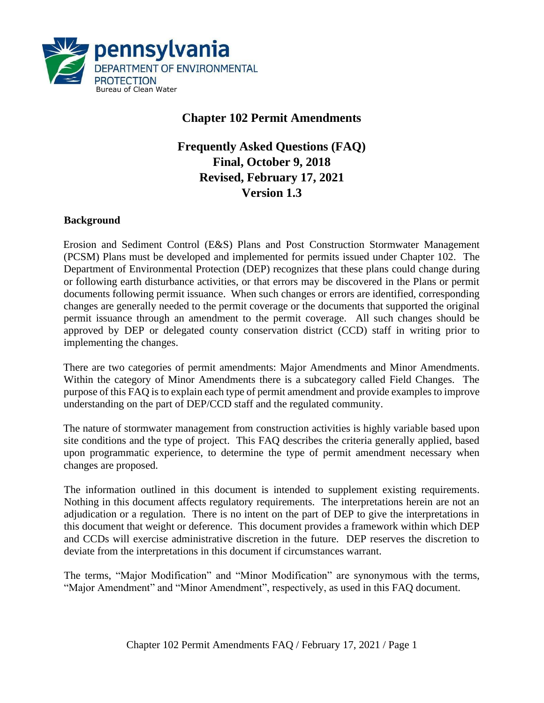

## **Chapter 102 Permit Amendments**

# **Frequently Asked Questions (FAQ) Final, October 9, 2018 Revised, February 17, 2021 Version 1.3**

### **Background**

Erosion and Sediment Control (E&S) Plans and Post Construction Stormwater Management (PCSM) Plans must be developed and implemented for permits issued under Chapter 102. The Department of Environmental Protection (DEP) recognizes that these plans could change during or following earth disturbance activities, or that errors may be discovered in the Plans or permit documents following permit issuance. When such changes or errors are identified, corresponding changes are generally needed to the permit coverage or the documents that supported the original permit issuance through an amendment to the permit coverage. All such changes should be approved by DEP or delegated county conservation district (CCD) staff in writing prior to implementing the changes.

There are two categories of permit amendments: Major Amendments and Minor Amendments. Within the category of Minor Amendments there is a subcategory called Field Changes. The purpose of this FAQ is to explain each type of permit amendment and provide examples to improve understanding on the part of DEP/CCD staff and the regulated community.

The nature of stormwater management from construction activities is highly variable based upon site conditions and the type of project. This FAQ describes the criteria generally applied, based upon programmatic experience, to determine the type of permit amendment necessary when changes are proposed.

The information outlined in this document is intended to supplement existing requirements. Nothing in this document affects regulatory requirements. The interpretations herein are not an adjudication or a regulation. There is no intent on the part of DEP to give the interpretations in this document that weight or deference. This document provides a framework within which DEP and CCDs will exercise administrative discretion in the future. DEP reserves the discretion to deviate from the interpretations in this document if circumstances warrant.

The terms, "Major Modification" and "Minor Modification" are synonymous with the terms, "Major Amendment" and "Minor Amendment", respectively, as used in this FAQ document.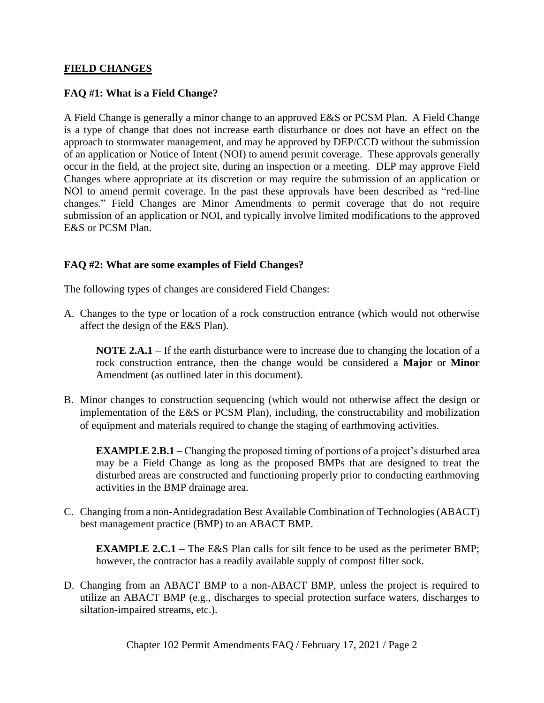### **FIELD CHANGES**

### **FAQ #1: What is a Field Change?**

A Field Change is generally a minor change to an approved E&S or PCSM Plan. A Field Change is a type of change that does not increase earth disturbance or does not have an effect on the approach to stormwater management, and may be approved by DEP/CCD without the submission of an application or Notice of Intent (NOI) to amend permit coverage. These approvals generally occur in the field, at the project site, during an inspection or a meeting. DEP may approve Field Changes where appropriate at its discretion or may require the submission of an application or NOI to amend permit coverage. In the past these approvals have been described as "red-line changes." Field Changes are Minor Amendments to permit coverage that do not require submission of an application or NOI, and typically involve limited modifications to the approved E&S or PCSM Plan.

### **FAQ #2: What are some examples of Field Changes?**

The following types of changes are considered Field Changes:

A. Changes to the type or location of a rock construction entrance (which would not otherwise affect the design of the E&S Plan).

**NOTE 2.A.1** – If the earth disturbance were to increase due to changing the location of a rock construction entrance, then the change would be considered a **Major** or **Minor** Amendment (as outlined later in this document).

B. Minor changes to construction sequencing (which would not otherwise affect the design or implementation of the E&S or PCSM Plan), including, the constructability and mobilization of equipment and materials required to change the staging of earthmoving activities.

**EXAMPLE 2.B.1** – Changing the proposed timing of portions of a project's disturbed area may be a Field Change as long as the proposed BMPs that are designed to treat the disturbed areas are constructed and functioning properly prior to conducting earthmoving activities in the BMP drainage area.

C. Changing from a non-Antidegradation Best Available Combination of Technologies (ABACT) best management practice (BMP) to an ABACT BMP.

**EXAMPLE 2.C.1** – The E&S Plan calls for silt fence to be used as the perimeter BMP; however, the contractor has a readily available supply of compost filter sock.

D. Changing from an ABACT BMP to a non-ABACT BMP, unless the project is required to utilize an ABACT BMP (e.g., discharges to special protection surface waters, discharges to siltation-impaired streams, etc.).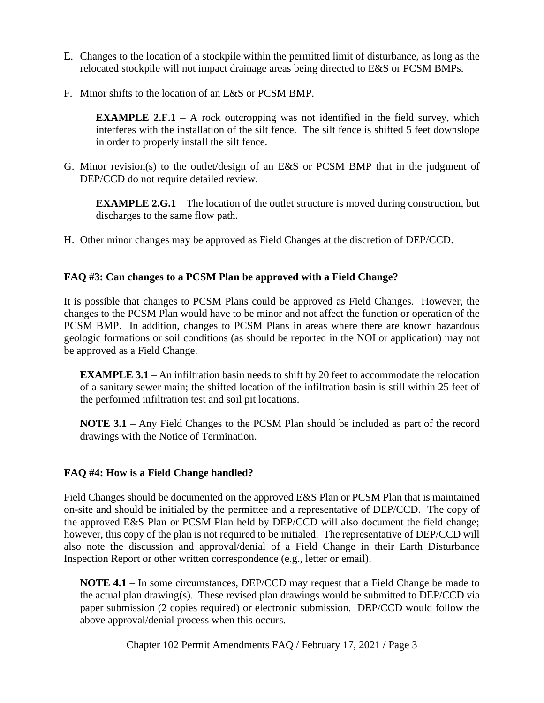- E. Changes to the location of a stockpile within the permitted limit of disturbance, as long as the relocated stockpile will not impact drainage areas being directed to E&S or PCSM BMPs.
- F. Minor shifts to the location of an E&S or PCSM BMP.

**EXAMPLE 2.F.1** – A rock outcropping was not identified in the field survey, which interferes with the installation of the silt fence. The silt fence is shifted 5 feet downslope in order to properly install the silt fence.

G. Minor revision(s) to the outlet/design of an E&S or PCSM BMP that in the judgment of DEP/CCD do not require detailed review.

**EXAMPLE 2.G.1** – The location of the outlet structure is moved during construction, but discharges to the same flow path.

H. Other minor changes may be approved as Field Changes at the discretion of DEP/CCD.

### **FAQ #3: Can changes to a PCSM Plan be approved with a Field Change?**

It is possible that changes to PCSM Plans could be approved as Field Changes. However, the changes to the PCSM Plan would have to be minor and not affect the function or operation of the PCSM BMP. In addition, changes to PCSM Plans in areas where there are known hazardous geologic formations or soil conditions (as should be reported in the NOI or application) may not be approved as a Field Change.

**EXAMPLE 3.1** – An infiltration basin needs to shift by 20 feet to accommodate the relocation of a sanitary sewer main; the shifted location of the infiltration basin is still within 25 feet of the performed infiltration test and soil pit locations.

**NOTE 3.1** – Any Field Changes to the PCSM Plan should be included as part of the record drawings with the Notice of Termination.

## **FAQ #4: How is a Field Change handled?**

Field Changes should be documented on the approved E&S Plan or PCSM Plan that is maintained on-site and should be initialed by the permittee and a representative of DEP/CCD. The copy of the approved E&S Plan or PCSM Plan held by DEP/CCD will also document the field change; however, this copy of the plan is not required to be initialed. The representative of DEP/CCD will also note the discussion and approval/denial of a Field Change in their Earth Disturbance Inspection Report or other written correspondence (e.g., letter or email).

**NOTE 4.1** – In some circumstances, DEP/CCD may request that a Field Change be made to the actual plan drawing(s). These revised plan drawings would be submitted to DEP/CCD via paper submission (2 copies required) or electronic submission. DEP/CCD would follow the above approval/denial process when this occurs.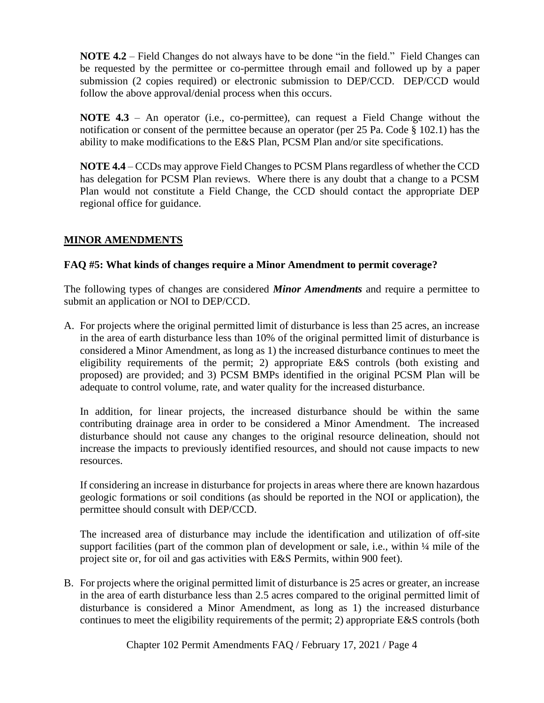**NOTE 4.2** – Field Changes do not always have to be done "in the field." Field Changes can be requested by the permittee or co-permittee through email and followed up by a paper submission (2 copies required) or electronic submission to DEP/CCD. DEP/CCD would follow the above approval/denial process when this occurs.

**NOTE 4.3** – An operator (i.e., co-permittee), can request a Field Change without the notification or consent of the permittee because an operator (per 25 Pa. Code § 102.1) has the ability to make modifications to the E&S Plan, PCSM Plan and/or site specifications.

**NOTE 4.4** – CCDs may approve Field Changes to PCSM Plans regardless of whether the CCD has delegation for PCSM Plan reviews. Where there is any doubt that a change to a PCSM Plan would not constitute a Field Change, the CCD should contact the appropriate DEP regional office for guidance.

## **MINOR AMENDMENTS**

### **FAQ #5: What kinds of changes require a Minor Amendment to permit coverage?**

The following types of changes are considered *Minor Amendments* and require a permittee to submit an application or NOI to DEP/CCD.

A. For projects where the original permitted limit of disturbance is less than 25 acres, an increase in the area of earth disturbance less than 10% of the original permitted limit of disturbance is considered a Minor Amendment, as long as 1) the increased disturbance continues to meet the eligibility requirements of the permit; 2) appropriate E&S controls (both existing and proposed) are provided; and 3) PCSM BMPs identified in the original PCSM Plan will be adequate to control volume, rate, and water quality for the increased disturbance.

In addition, for linear projects, the increased disturbance should be within the same contributing drainage area in order to be considered a Minor Amendment. The increased disturbance should not cause any changes to the original resource delineation, should not increase the impacts to previously identified resources, and should not cause impacts to new resources.

If considering an increase in disturbance for projects in areas where there are known hazardous geologic formations or soil conditions (as should be reported in the NOI or application), the permittee should consult with DEP/CCD.

The increased area of disturbance may include the identification and utilization of off-site support facilities (part of the common plan of development or sale, i.e., within  $\frac{1}{4}$  mile of the project site or, for oil and gas activities with E&S Permits, within 900 feet).

B. For projects where the original permitted limit of disturbance is 25 acres or greater, an increase in the area of earth disturbance less than 2.5 acres compared to the original permitted limit of disturbance is considered a Minor Amendment, as long as 1) the increased disturbance continues to meet the eligibility requirements of the permit; 2) appropriate E&S controls (both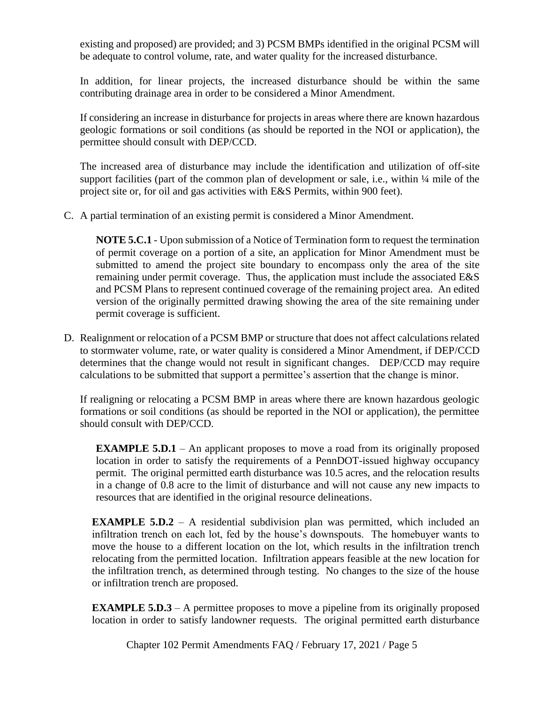existing and proposed) are provided; and 3) PCSM BMPs identified in the original PCSM will be adequate to control volume, rate, and water quality for the increased disturbance.

In addition, for linear projects, the increased disturbance should be within the same contributing drainage area in order to be considered a Minor Amendment.

If considering an increase in disturbance for projects in areas where there are known hazardous geologic formations or soil conditions (as should be reported in the NOI or application), the permittee should consult with DEP/CCD.

The increased area of disturbance may include the identification and utilization of off-site support facilities (part of the common plan of development or sale, i.e., within  $\frac{1}{4}$  mile of the project site or, for oil and gas activities with E&S Permits, within 900 feet).

C. A partial termination of an existing permit is considered a Minor Amendment.

**NOTE 5.C.1** - Upon submission of a Notice of Termination form to request the termination of permit coverage on a portion of a site, an application for Minor Amendment must be submitted to amend the project site boundary to encompass only the area of the site remaining under permit coverage. Thus, the application must include the associated E&S and PCSM Plans to represent continued coverage of the remaining project area. An edited version of the originally permitted drawing showing the area of the site remaining under permit coverage is sufficient.

D. Realignment or relocation of a PCSM BMP or structure that does not affect calculations related to stormwater volume, rate, or water quality is considered a Minor Amendment, if DEP/CCD determines that the change would not result in significant changes. DEP/CCD may require calculations to be submitted that support a permittee's assertion that the change is minor.

If realigning or relocating a PCSM BMP in areas where there are known hazardous geologic formations or soil conditions (as should be reported in the NOI or application), the permittee should consult with DEP/CCD.

**EXAMPLE 5.D.1** – An applicant proposes to move a road from its originally proposed location in order to satisfy the requirements of a PennDOT-issued highway occupancy permit. The original permitted earth disturbance was 10.5 acres, and the relocation results in a change of 0.8 acre to the limit of disturbance and will not cause any new impacts to resources that are identified in the original resource delineations.

**EXAMPLE 5.D.2** – A residential subdivision plan was permitted, which included an infiltration trench on each lot, fed by the house's downspouts. The homebuyer wants to move the house to a different location on the lot, which results in the infiltration trench relocating from the permitted location. Infiltration appears feasible at the new location for the infiltration trench, as determined through testing. No changes to the size of the house or infiltration trench are proposed.

**EXAMPLE 5.D.3** – A permittee proposes to move a pipeline from its originally proposed location in order to satisfy landowner requests. The original permitted earth disturbance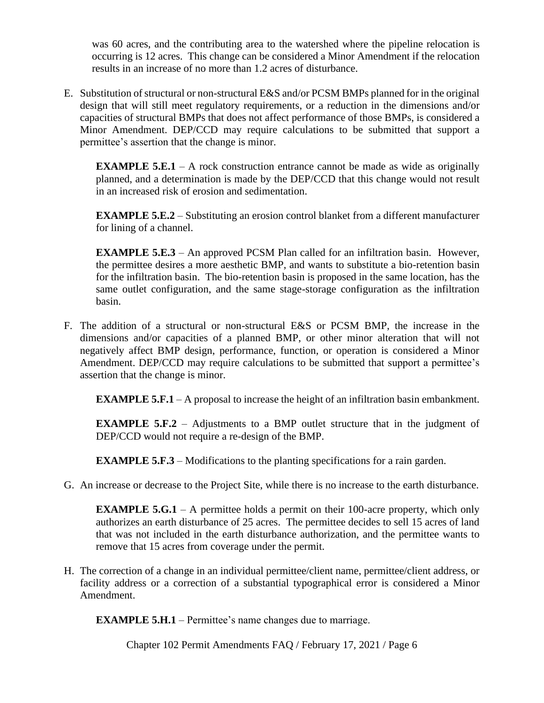was 60 acres, and the contributing area to the watershed where the pipeline relocation is occurring is 12 acres. This change can be considered a Minor Amendment if the relocation results in an increase of no more than 1.2 acres of disturbance.

E. Substitution of structural or non-structural E&S and/or PCSM BMPs planned for in the original design that will still meet regulatory requirements, or a reduction in the dimensions and/or capacities of structural BMPs that does not affect performance of those BMPs, is considered a Minor Amendment. DEP/CCD may require calculations to be submitted that support a permittee's assertion that the change is minor.

**EXAMPLE 5.E.1** – A rock construction entrance cannot be made as wide as originally planned, and a determination is made by the DEP/CCD that this change would not result in an increased risk of erosion and sedimentation.

**EXAMPLE 5.E.2** – Substituting an erosion control blanket from a different manufacturer for lining of a channel.

**EXAMPLE 5.E.3** – An approved PCSM Plan called for an infiltration basin. However, the permittee desires a more aesthetic BMP, and wants to substitute a bio-retention basin for the infiltration basin. The bio-retention basin is proposed in the same location, has the same outlet configuration, and the same stage-storage configuration as the infiltration basin.

F. The addition of a structural or non-structural E&S or PCSM BMP, the increase in the dimensions and/or capacities of a planned BMP, or other minor alteration that will not negatively affect BMP design, performance, function, or operation is considered a Minor Amendment. DEP/CCD may require calculations to be submitted that support a permittee's assertion that the change is minor.

**EXAMPLE 5.F.1** – A proposal to increase the height of an infiltration basin embankment.

**EXAMPLE** 5.F.2 – Adjustments to a BMP outlet structure that in the judgment of DEP/CCD would not require a re-design of the BMP.

**EXAMPLE 5.F.3** – Modifications to the planting specifications for a rain garden.

G. An increase or decrease to the Project Site, while there is no increase to the earth disturbance.

**EXAMPLE 5.G.1** – A permittee holds a permit on their 100-acre property, which only authorizes an earth disturbance of 25 acres. The permittee decides to sell 15 acres of land that was not included in the earth disturbance authorization, and the permittee wants to remove that 15 acres from coverage under the permit.

H. The correction of a change in an individual permittee/client name, permittee/client address, or facility address or a correction of a substantial typographical error is considered a Minor Amendment.

**EXAMPLE 5.H.1** – Permittee's name changes due to marriage.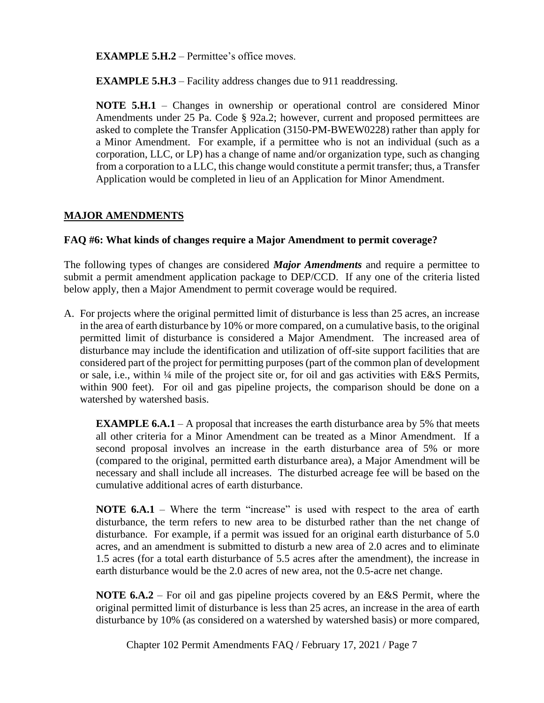**EXAMPLE 5.H.2** – Permittee's office moves.

**EXAMPLE 5.H.3** – Facility address changes due to 911 readdressing.

**NOTE 5.H.1** – Changes in ownership or operational control are considered Minor Amendments under 25 Pa. Code § 92a.2; however, current and proposed permittees are asked to complete the Transfer Application (3150-PM-BWEW0228) rather than apply for a Minor Amendment. For example, if a permittee who is not an individual (such as a corporation, LLC, or LP) has a change of name and/or organization type, such as changing from a corporation to a LLC, this change would constitute a permit transfer; thus, a Transfer Application would be completed in lieu of an Application for Minor Amendment.

## **MAJOR AMENDMENTS**

### **FAQ #6: What kinds of changes require a Major Amendment to permit coverage?**

The following types of changes are considered *Major Amendments* and require a permittee to submit a permit amendment application package to DEP/CCD. If any one of the criteria listed below apply, then a Major Amendment to permit coverage would be required.

A. For projects where the original permitted limit of disturbance is less than 25 acres, an increase in the area of earth disturbance by 10% or more compared, on a cumulative basis, to the original permitted limit of disturbance is considered a Major Amendment. The increased area of disturbance may include the identification and utilization of off-site support facilities that are considered part of the project for permitting purposes (part of the common plan of development or sale, i.e., within ¼ mile of the project site or, for oil and gas activities with E&S Permits, within 900 feet). For oil and gas pipeline projects, the comparison should be done on a watershed by watershed basis.

**EXAMPLE 6.A.1** – A proposal that increases the earth disturbance area by 5% that meets all other criteria for a Minor Amendment can be treated as a Minor Amendment. If a second proposal involves an increase in the earth disturbance area of 5% or more (compared to the original, permitted earth disturbance area), a Major Amendment will be necessary and shall include all increases. The disturbed acreage fee will be based on the cumulative additional acres of earth disturbance.

**NOTE 6.A.1** – Where the term "increase" is used with respect to the area of earth disturbance, the term refers to new area to be disturbed rather than the net change of disturbance. For example, if a permit was issued for an original earth disturbance of 5.0 acres, and an amendment is submitted to disturb a new area of 2.0 acres and to eliminate 1.5 acres (for a total earth disturbance of 5.5 acres after the amendment), the increase in earth disturbance would be the 2.0 acres of new area, not the 0.5-acre net change.

**NOTE 6.A.2** – For oil and gas pipeline projects covered by an E&S Permit, where the original permitted limit of disturbance is less than 25 acres, an increase in the area of earth disturbance by 10% (as considered on a watershed by watershed basis) or more compared,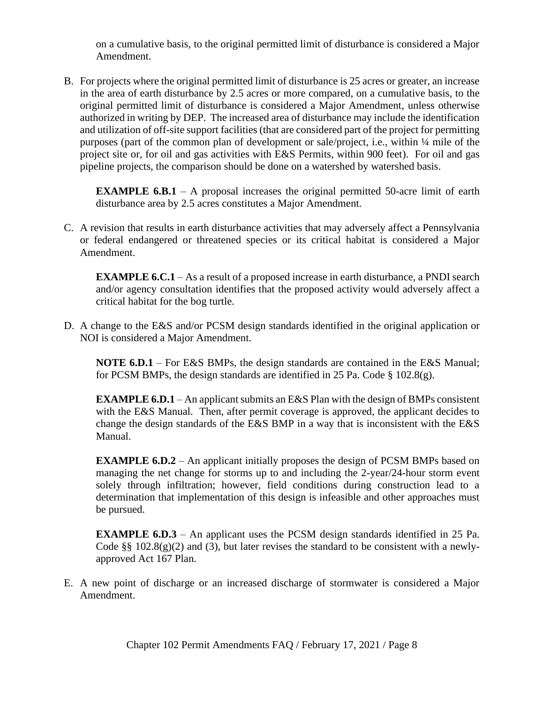on a cumulative basis, to the original permitted limit of disturbance is considered a Major Amendment.

B. For projects where the original permitted limit of disturbance is 25 acres or greater, an increase in the area of earth disturbance by 2.5 acres or more compared, on a cumulative basis, to the original permitted limit of disturbance is considered a Major Amendment, unless otherwise authorized in writing by DEP. The increased area of disturbance may include the identification and utilization of off-site support facilities (that are considered part of the project for permitting purposes (part of the common plan of development or sale/project, i.e., within ¼ mile of the project site or, for oil and gas activities with E&S Permits, within 900 feet). For oil and gas pipeline projects, the comparison should be done on a watershed by watershed basis.

**EXAMPLE** 6.B.1 – A proposal increases the original permitted 50-acre limit of earth disturbance area by 2.5 acres constitutes a Major Amendment.

C. A revision that results in earth disturbance activities that may adversely affect a Pennsylvania or federal endangered or threatened species or its critical habitat is considered a Major Amendment.

**EXAMPLE 6.C.1** – As a result of a proposed increase in earth disturbance, a PNDI search and/or agency consultation identifies that the proposed activity would adversely affect a critical habitat for the bog turtle.

D. A change to the E&S and/or PCSM design standards identified in the original application or NOI is considered a Major Amendment.

**NOTE 6.D.1** – For E&S BMPs, the design standards are contained in the E&S Manual; for PCSM BMPs, the design standards are identified in 25 Pa. Code  $\S$  102.8(g).

**EXAMPLE 6.D.1** – An applicant submits an E&S Plan with the design of BMPs consistent with the E&S Manual. Then, after permit coverage is approved, the applicant decides to change the design standards of the E&S BMP in a way that is inconsistent with the E&S Manual.

**EXAMPLE 6.D.2** – An applicant initially proposes the design of PCSM BMPs based on managing the net change for storms up to and including the 2-year/24-hour storm event solely through infiltration; however, field conditions during construction lead to a determination that implementation of this design is infeasible and other approaches must be pursued.

**EXAMPLE 6.D.3** – An applicant uses the PCSM design standards identified in 25 Pa. Code  $\S$ § 102.8(g)(2) and (3), but later revises the standard to be consistent with a newlyapproved Act 167 Plan.

E. A new point of discharge or an increased discharge of stormwater is considered a Major Amendment.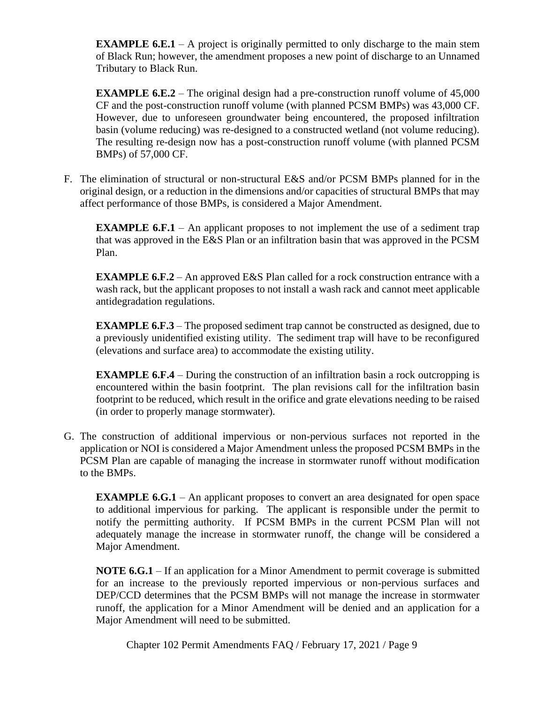**EXAMPLE 6.E.1** – A project is originally permitted to only discharge to the main stem of Black Run; however, the amendment proposes a new point of discharge to an Unnamed Tributary to Black Run.

**EXAMPLE 6.E.2** – The original design had a pre-construction runoff volume of 45,000 CF and the post-construction runoff volume (with planned PCSM BMPs) was 43,000 CF. However, due to unforeseen groundwater being encountered, the proposed infiltration basin (volume reducing) was re-designed to a constructed wetland (not volume reducing). The resulting re-design now has a post-construction runoff volume (with planned PCSM BMPs) of 57,000 CF.

F. The elimination of structural or non-structural E&S and/or PCSM BMPs planned for in the original design, or a reduction in the dimensions and/or capacities of structural BMPs that may affect performance of those BMPs, is considered a Major Amendment.

**EXAMPLE 6.F.1** – An applicant proposes to not implement the use of a sediment trap that was approved in the E&S Plan or an infiltration basin that was approved in the PCSM Plan.

**EXAMPLE 6.F.2** – An approved E&S Plan called for a rock construction entrance with a wash rack, but the applicant proposes to not install a wash rack and cannot meet applicable antidegradation regulations.

**EXAMPLE 6.F.3** – The proposed sediment trap cannot be constructed as designed, due to a previously unidentified existing utility. The sediment trap will have to be reconfigured (elevations and surface area) to accommodate the existing utility.

**EXAMPLE 6.F.4** – During the construction of an infiltration basin a rock outcropping is encountered within the basin footprint. The plan revisions call for the infiltration basin footprint to be reduced, which result in the orifice and grate elevations needing to be raised (in order to properly manage stormwater).

G. The construction of additional impervious or non-pervious surfaces not reported in the application or NOI is considered a Major Amendment unless the proposed PCSM BMPs in the PCSM Plan are capable of managing the increase in stormwater runoff without modification to the BMPs.

**EXAMPLE 6.G.1** – An applicant proposes to convert an area designated for open space to additional impervious for parking. The applicant is responsible under the permit to notify the permitting authority. If PCSM BMPs in the current PCSM Plan will not adequately manage the increase in stormwater runoff, the change will be considered a Major Amendment.

**NOTE 6.G.1** – If an application for a Minor Amendment to permit coverage is submitted for an increase to the previously reported impervious or non-pervious surfaces and DEP/CCD determines that the PCSM BMPs will not manage the increase in stormwater runoff, the application for a Minor Amendment will be denied and an application for a Major Amendment will need to be submitted.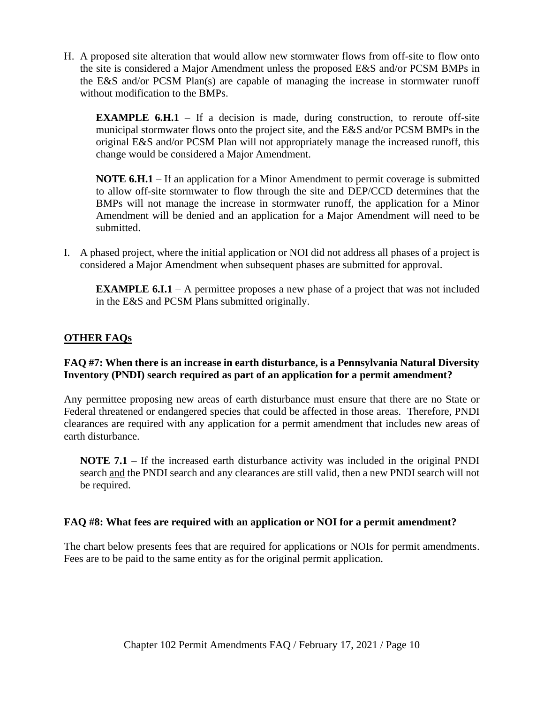H. A proposed site alteration that would allow new stormwater flows from off-site to flow onto the site is considered a Major Amendment unless the proposed E&S and/or PCSM BMPs in the E&S and/or PCSM Plan(s) are capable of managing the increase in stormwater runoff without modification to the BMPs.

**EXAMPLE 6.H.1** – If a decision is made, during construction, to reroute off-site municipal stormwater flows onto the project site, and the E&S and/or PCSM BMPs in the original E&S and/or PCSM Plan will not appropriately manage the increased runoff, this change would be considered a Major Amendment.

**NOTE 6.H.1** – If an application for a Minor Amendment to permit coverage is submitted to allow off-site stormwater to flow through the site and DEP/CCD determines that the BMPs will not manage the increase in stormwater runoff, the application for a Minor Amendment will be denied and an application for a Major Amendment will need to be submitted.

I. A phased project, where the initial application or NOI did not address all phases of a project is considered a Major Amendment when subsequent phases are submitted for approval.

**EXAMPLE 6.I.1** – A permittee proposes a new phase of a project that was not included in the E&S and PCSM Plans submitted originally.

## **OTHER FAQs**

### **FAQ #7: When there is an increase in earth disturbance, is a Pennsylvania Natural Diversity Inventory (PNDI) search required as part of an application for a permit amendment?**

Any permittee proposing new areas of earth disturbance must ensure that there are no State or Federal threatened or endangered species that could be affected in those areas. Therefore, PNDI clearances are required with any application for a permit amendment that includes new areas of earth disturbance.

**NOTE 7.1** – If the increased earth disturbance activity was included in the original PNDI search and the PNDI search and any clearances are still valid, then a new PNDI search will not be required.

#### **FAQ #8: What fees are required with an application or NOI for a permit amendment?**

The chart below presents fees that are required for applications or NOIs for permit amendments. Fees are to be paid to the same entity as for the original permit application.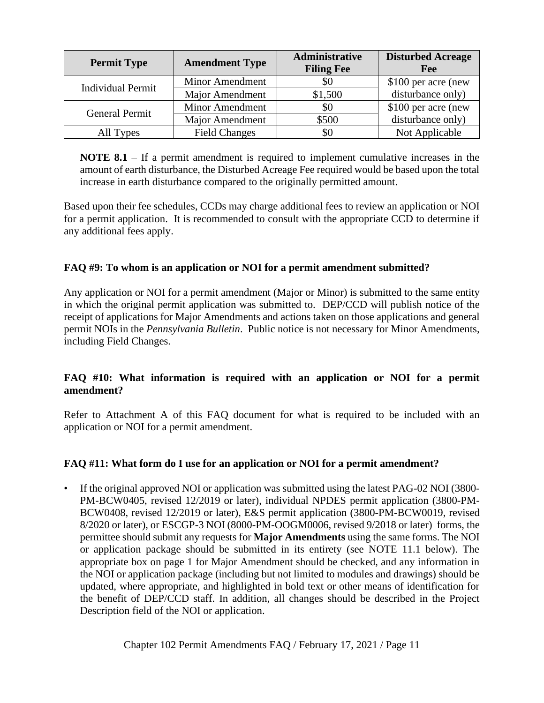| <b>Permit Type</b>       | <b>Amendment Type</b>  | Administrative<br><b>Filing Fee</b> | <b>Disturbed Acreage</b><br>Fee |
|--------------------------|------------------------|-------------------------------------|---------------------------------|
| <b>Individual Permit</b> | <b>Minor Amendment</b> | \$0                                 | \$100 per acre (new             |
|                          | <b>Major Amendment</b> | \$1,500                             | disturbance only)               |
| <b>General Permit</b>    | <b>Minor Amendment</b> | \$0                                 | \$100 per acre (new             |
|                          | <b>Major Amendment</b> | \$500                               | disturbance only)               |
| All Types                | <b>Field Changes</b>   | \$0                                 | Not Applicable                  |

**NOTE 8.1** – If a permit amendment is required to implement cumulative increases in the amount of earth disturbance, the Disturbed Acreage Fee required would be based upon the total increase in earth disturbance compared to the originally permitted amount.

Based upon their fee schedules, CCDs may charge additional fees to review an application or NOI for a permit application. It is recommended to consult with the appropriate CCD to determine if any additional fees apply.

## **FAQ #9: To whom is an application or NOI for a permit amendment submitted?**

Any application or NOI for a permit amendment (Major or Minor) is submitted to the same entity in which the original permit application was submitted to. DEP/CCD will publish notice of the receipt of applications for Major Amendments and actions taken on those applications and general permit NOIs in the *Pennsylvania Bulletin*. Public notice is not necessary for Minor Amendments, including Field Changes.

## **FAQ #10: What information is required with an application or NOI for a permit amendment?**

Refer to Attachment A of this FAQ document for what is required to be included with an application or NOI for a permit amendment.

## **FAQ #11: What form do I use for an application or NOI for a permit amendment?**

• If the original approved NOI or application was submitted using the latest PAG-02 NOI (3800- PM-BCW0405, revised 12/2019 or later), individual NPDES permit application (3800-PM-BCW0408, revised 12/2019 or later), E&S permit application (3800-PM-BCW0019, revised 8/2020 or later), or ESCGP-3 NOI (8000-PM-OOGM0006, revised 9/2018 or later) forms, the permittee should submit any requests for **Major Amendments** using the same forms. The NOI or application package should be submitted in its entirety (see NOTE 11.1 below). The appropriate box on page 1 for Major Amendment should be checked, and any information in the NOI or application package (including but not limited to modules and drawings) should be updated, where appropriate, and highlighted in bold text or other means of identification for the benefit of DEP/CCD staff. In addition, all changes should be described in the Project Description field of the NOI or application.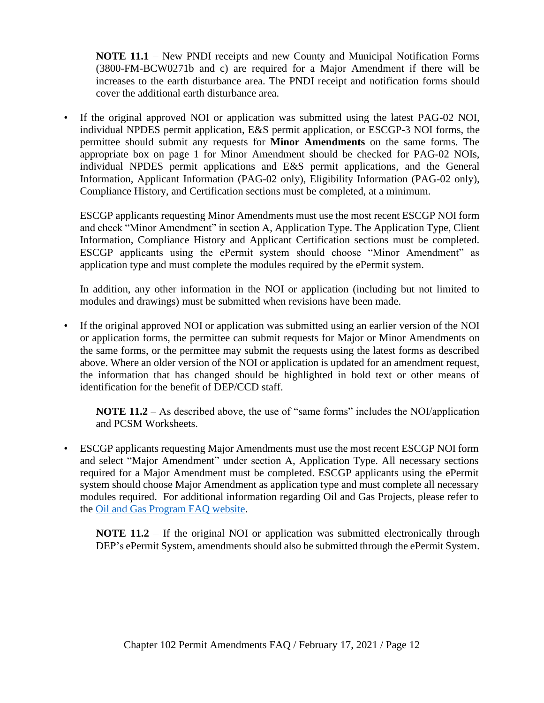**NOTE 11.1** – New PNDI receipts and new County and Municipal Notification Forms (3800-FM-BCW0271b and c) are required for a Major Amendment if there will be increases to the earth disturbance area. The PNDI receipt and notification forms should cover the additional earth disturbance area.

• If the original approved NOI or application was submitted using the latest PAG-02 NOI, individual NPDES permit application, E&S permit application, or ESCGP-3 NOI forms, the permittee should submit any requests for **Minor Amendments** on the same forms. The appropriate box on page 1 for Minor Amendment should be checked for PAG-02 NOIs, individual NPDES permit applications and E&S permit applications, and the General Information, Applicant Information (PAG-02 only), Eligibility Information (PAG-02 only), Compliance History, and Certification sections must be completed, at a minimum.

ESCGP applicants requesting Minor Amendments must use the most recent ESCGP NOI form and check "Minor Amendment" in section A, Application Type. The Application Type, Client Information, Compliance History and Applicant Certification sections must be completed. ESCGP applicants using the ePermit system should choose "Minor Amendment" as application type and must complete the modules required by the ePermit system.

In addition, any other information in the NOI or application (including but not limited to modules and drawings) must be submitted when revisions have been made.

• If the original approved NOI or application was submitted using an earlier version of the NOI or application forms, the permittee can submit requests for Major or Minor Amendments on the same forms, or the permittee may submit the requests using the latest forms as described above. Where an older version of the NOI or application is updated for an amendment request, the information that has changed should be highlighted in bold text or other means of identification for the benefit of DEP/CCD staff.

**NOTE 11.2** – As described above, the use of "same forms" includes the NOI/application and PCSM Worksheets.

• ESCGP applicants requesting Major Amendments must use the most recent ESCGP NOI form and select "Major Amendment" under section A, Application Type. All necessary sections required for a Major Amendment must be completed. ESCGP applicants using the ePermit system should choose Major Amendment as application type and must complete all necessary modules required.For additional information regarding Oil and Gas Projects, please refer to the [Oil and Gas Program FAQ website.](https://www.dep.pa.gov/Business/Energy/OilandGasPrograms/OilandGasMgmt/Pages/Oil-and-Gas-FAQ.aspx)

**NOTE 11.2** – If the original NOI or application was submitted electronically through DEP's ePermit System, amendments should also be submitted through the ePermit System.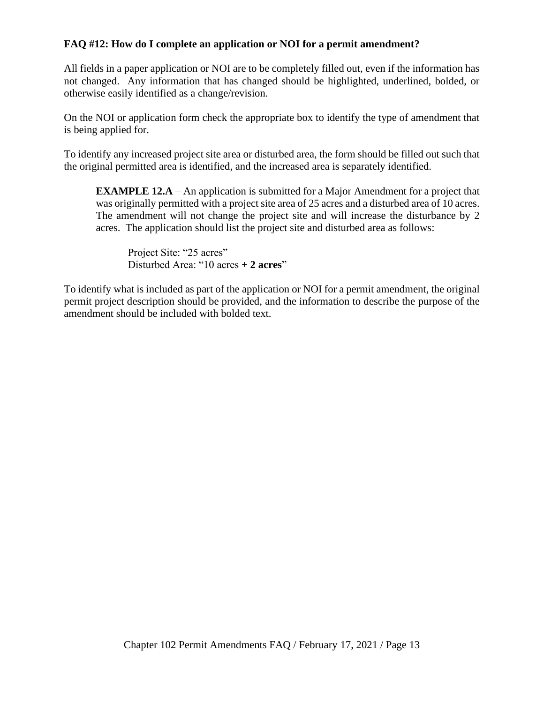## **FAQ #12: How do I complete an application or NOI for a permit amendment?**

All fields in a paper application or NOI are to be completely filled out, even if the information has not changed. Any information that has changed should be highlighted, underlined, bolded, or otherwise easily identified as a change/revision.

On the NOI or application form check the appropriate box to identify the type of amendment that is being applied for.

To identify any increased project site area or disturbed area, the form should be filled out such that the original permitted area is identified, and the increased area is separately identified.

**EXAMPLE 12.A** – An application is submitted for a Major Amendment for a project that was originally permitted with a project site area of 25 acres and a disturbed area of 10 acres. The amendment will not change the project site and will increase the disturbance by 2 acres. The application should list the project site and disturbed area as follows:

Project Site: "25 acres" Disturbed Area: "10 acres **+ 2 acres**"

To identify what is included as part of the application or NOI for a permit amendment, the original permit project description should be provided, and the information to describe the purpose of the amendment should be included with bolded text.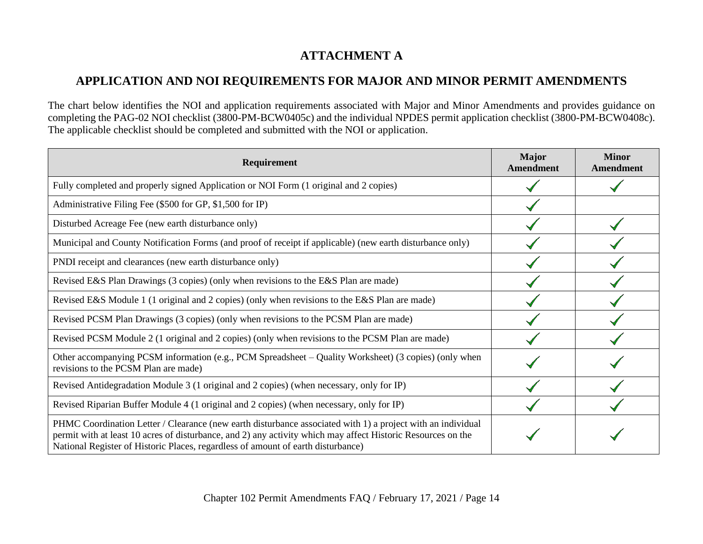# **ATTACHMENT A**

# **APPLICATION AND NOI REQUIREMENTS FOR MAJOR AND MINOR PERMIT AMENDMENTS**

The chart below identifies the NOI and application requirements associated with Major and Minor Amendments and provides guidance on completing the PAG-02 NOI checklist (3800-PM-BCW0405c) and the individual NPDES permit application checklist (3800-PM-BCW0408c). The applicable checklist should be completed and submitted with the NOI or application.

| Requirement                                                                                                                                                                                                                                                                                                     | <b>Major</b><br><b>Amendment</b> | <b>Minor</b><br><b>Amendment</b> |
|-----------------------------------------------------------------------------------------------------------------------------------------------------------------------------------------------------------------------------------------------------------------------------------------------------------------|----------------------------------|----------------------------------|
| Fully completed and properly signed Application or NOI Form (1 original and 2 copies)                                                                                                                                                                                                                           |                                  |                                  |
| Administrative Filing Fee (\$500 for GP, \$1,500 for IP)                                                                                                                                                                                                                                                        |                                  |                                  |
| Disturbed Acreage Fee (new earth disturbance only)                                                                                                                                                                                                                                                              |                                  |                                  |
| Municipal and County Notification Forms (and proof of receipt if applicable) (new earth disturbance only)                                                                                                                                                                                                       |                                  |                                  |
| PNDI receipt and clearances (new earth disturbance only)                                                                                                                                                                                                                                                        |                                  |                                  |
| Revised E&S Plan Drawings (3 copies) (only when revisions to the E&S Plan are made)                                                                                                                                                                                                                             |                                  |                                  |
| Revised E&S Module 1 (1 original and 2 copies) (only when revisions to the E&S Plan are made)                                                                                                                                                                                                                   |                                  |                                  |
| Revised PCSM Plan Drawings (3 copies) (only when revisions to the PCSM Plan are made)                                                                                                                                                                                                                           |                                  |                                  |
| Revised PCSM Module 2 (1 original and 2 copies) (only when revisions to the PCSM Plan are made)                                                                                                                                                                                                                 |                                  |                                  |
| Other accompanying PCSM information (e.g., PCM Spreadsheet – Quality Worksheet) (3 copies) (only when<br>revisions to the PCSM Plan are made)                                                                                                                                                                   |                                  |                                  |
| Revised Antidegradation Module 3 (1 original and 2 copies) (when necessary, only for IP)                                                                                                                                                                                                                        |                                  |                                  |
| Revised Riparian Buffer Module 4 (1 original and 2 copies) (when necessary, only for IP)                                                                                                                                                                                                                        |                                  |                                  |
| PHMC Coordination Letter / Clearance (new earth disturbance associated with 1) a project with an individual<br>permit with at least 10 acres of disturbance, and 2) any activity which may affect Historic Resources on the<br>National Register of Historic Places, regardless of amount of earth disturbance) |                                  |                                  |